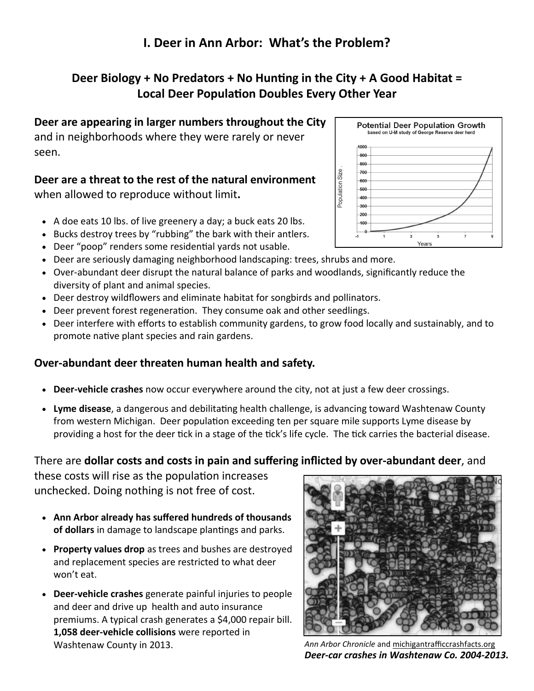## **I. Deer in Ann Arbor: What's the Problem?**

## **Deer Biology + No Predators + No Hunting in the City + A Good Habitat = Local Deer Population Doubles Every Other Year**

**Deer are appearing in larger numbers throughout the City**  and in neighborhoods where they were rarely or never seen.

# **Deer are a threat to the rest of the natural environment**

when allowed to reproduce without limit**.** 

- A doe eats 10 lbs. of live greenery a day; a buck eats 20 lbs.
- Bucks destroy trees by "rubbing" the bark with their antlers.
- Deer "poop" renders some residential yards not usable.
- Deer are seriously damaging neighborhood landscaping: trees, shrubs and more.
- Over-abundant deer disrupt the natural balance of parks and woodlands, significantly reduce the diversity of plant and animal species.
- Deer destroy wildflowers and eliminate habitat for songbirds and pollinators.
- Deer prevent forest regeneration. They consume oak and other seedlings.
- Deer interfere with efforts to establish community gardens, to grow food locally and sustainably, and to promote native plant species and rain gardens.

### **Over-abundant deer threaten human health and safety.**

- **Deer-vehicle crashes** now occur everywhere around the city, not at just a few deer crossings.
- **Lyme disease**, a dangerous and debilitating health challenge, is advancing toward Washtenaw County from western Michigan. Deer population exceeding ten per square mile supports Lyme disease by providing a host for the deer tick in a stage of the tick's life cycle. The tick carries the bacterial disease.

### There are **dollar costs and costs in pain and suffering inflicted by over-abundant deer**, and

these costs will rise as the population increases unchecked. Doing nothing is not free of cost.

- **Ann Arbor already has suffered hundreds of thousands of dollars** in damage to landscape plantings and parks.
- **Property values drop** as trees and bushes are destroyed and replacement species are restricted to what deer won't eat.
- **Deer-vehicle crashes** generate painful injuries to people and deer and drive up health and auto insurance premiums. A typical crash generates a \$4,000 repair bill. **1,058 deer-vehicle collisions** were reported in Washtenaw County in 2013. *Ann Arbor Chronicle* and [michigantrafficcrashfacts.org](http://michigantrafficcrashfacts.org)



*Deer-car crashes in Washtenaw Co. 2004-2013.*